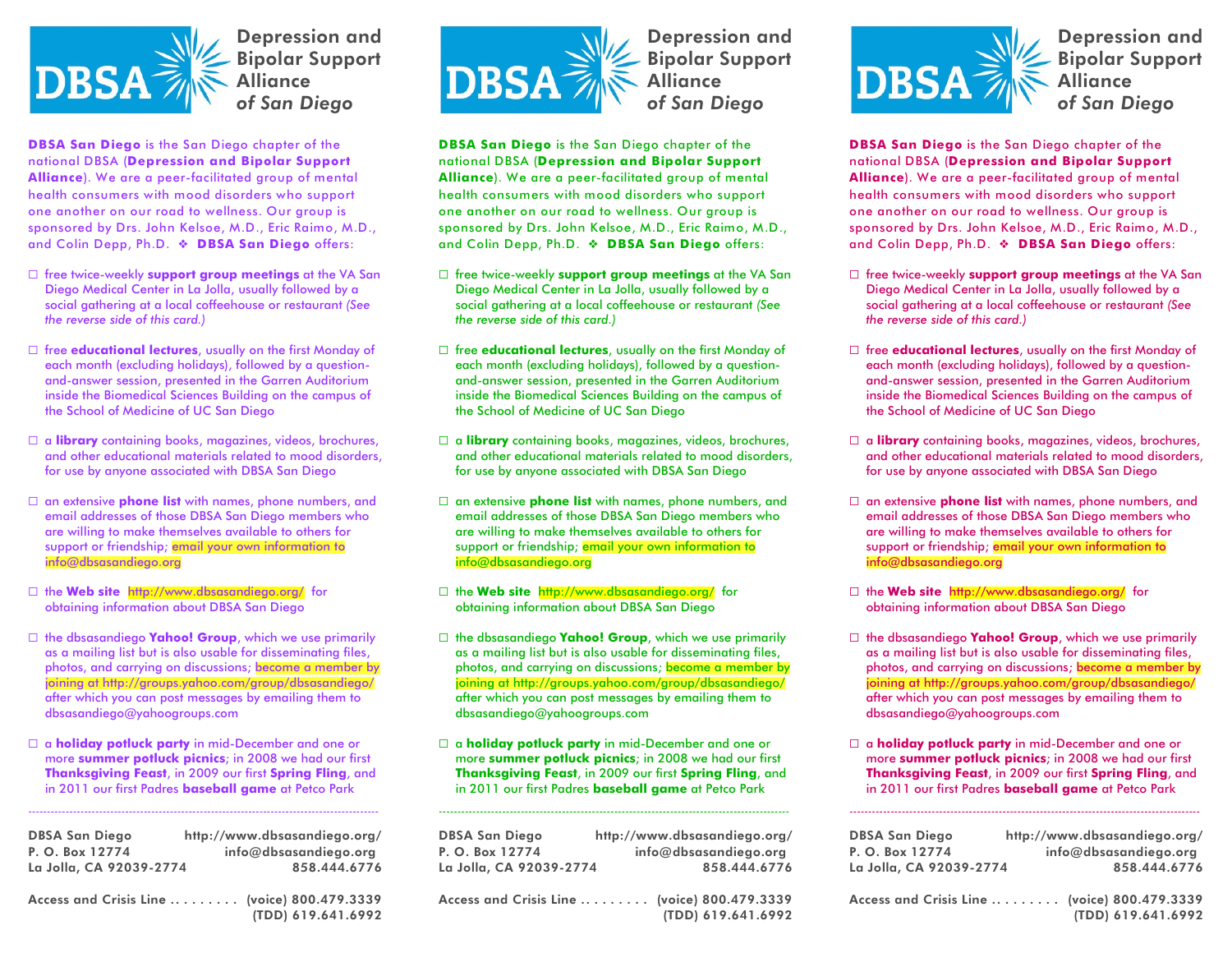

Depression and Bipolar Support **Alliance** *of San Diego*

**DBSA San Diego** is the San Diego chapter of the national DBSA (**Depression and Bipolar Support Alliance**). We are a peer-facilitated group of mental health consumers with mood disorders who support one another on our road to wellness. Our group is sponsored by Drs. John Kelsoe, M.D., Eric Raimo, M.D., and Colin Depp, Ph.D. **DBSA San Diego** offers:

- G free twice-weekly **support group meetings** at the VA San Diego Medical Center in La Jolla, usually followed by a social gathering at a local coffeehouse or restaurant *(See the reverse side of this card.)*
- G free **educational lectures**, usually on the first Monday of each month (excluding holidays), followed by a questionand-answer session, presented in the Garren Auditorium inside the Biomedical Sciences Building on the campus of the School of Medicine of UC San Diego
- G a **library** containing books, magazines, videos, brochures, and other educational materials related to mood disorders, for use by anyone associated with DBSA San Diego
- G an extensive **phone list** with names, phone numbers, and email addresses of those DBSA San Diego members who are willing to make themselves available to others for support or friendship; email your own information to info@dbsasandiego.org
- G the **Web site** http://www.dbsasandiego.org/ for obtaining information about DBSA San Diego
- G the dbsasandiego **Yahoo! Group**, which we use primarily as a mailing list but is also usable for disseminating files, photos, and carrying on discussions; become a member by joining at http://groups.yahoo.com/group/dbsasandiego/ after which you can post messages by emailing them to dbsasandiego@yahoogroups.com
- G a **holiday potluck party** in mid-December and one or more **summer potluck picnics**; in 2008 we had our first **Thanksgiving Feast**, in 2009 our first **Spring Fling**, and in 2011 our first Padres **baseball game** at Petco Park

----------------------------------------------------------------------------------------------

| <b>DBSA San Diego</b><br>P. O. Box 12774 | http://www.dbsasandiego.org/<br>info@dbsasandiego.org              |
|------------------------------------------|--------------------------------------------------------------------|
| La Jolla, CA 92039-2774                  | 858.444.6776                                                       |
|                                          | Access and Crisis Line  (voice) 800.479.3339<br>(TDD) 619.641.6992 |



Depression and Bipolar Support **Alliance** *of San Diego*

**DBSA San Diego** is the San Diego chapter of the national DBSA (**Depression and Bipolar Support Alliance**). We are a peer-facilitated group of mental health consumers with mood disorders who support one another on our road to wellness. Our group is sponsored by Drs. John Kelsoe, M.D., Eric Raimo, M.D., and Colin Depp, Ph.D. **DBSA San Diego** offers:

- G free twice-weekly **support group meetings** at the VA San Diego Medical Center in La Jolla, usually followed by a social gathering at a local coffeehouse or restaurant *(See the reverse side of this card.)*
- G free **educational lectures**, usually on the first Monday of each month (excluding holidays), followed by a questionand-answer session, presented in the Garren Auditorium inside the Biomedical Sciences Building on the campus of the School of Medicine of UC San Diego
- G a **library** containing books, magazines, videos, brochures, and other educational materials related to mood disorders, for use by anyone associated with DBSA San Diego
- G an extensive **phone list** with names, phone numbers, and email addresses of those DBSA San Diego members who are willing to make themselves available to others for support or friendship; email your own information to info@dbsasandiego.org
- G the **Web site** http://www.dbsasandiego.org/ for obtaining information about DBSA San Diego
- G the dbsasandiego **Yahoo! Group**, which we use primarily as a mailing list but is also usable for disseminating files, photos, and carrying on discussions; become a member by joining at http://groups.yahoo.com/group/dbsasandiego/ after which you can post messages by emailing them to dbsasandiego@yahoogroups.com
- G a **holiday potluck party** in mid-December and one or more **summer potluck picnics**; in 2008 we had our first **Thanksgiving Feast**, in 2009 our first **Spring Fling**, and in 2011 our first Padres **baseball game** at Petco Park

----------------------------------------------------------------------------------------------

DBSA San Diego http://www.dbsasandiego.org/ P. O. Box 12774 info@dbsasandiego.org La Jolla, CA 92039-2774 858.444.6776

Access and Crisis Line .. . . . . . . . (voice) 800.479.3339 (TDD) 619.641.6992



Depression and Bipolar Support **Alliance** *of San Diego*

**DBSA San Diego** is the San Diego chapter of the national DBSA (**Depression and Bipolar Support Alliance**). We are a peer-facilitated group of mental health consumers with mood disorders who support one another on our road to wellness. Our group is sponsored by Drs. John Kelsoe, M.D., Eric Raimo, M.D., and Colin Depp, Ph.D. **DBSA San Diego** offers:

- G free twice-weekly **support group meetings** at the VA San Diego Medical Center in La Jolla, usually followed by a social gathering at a local coffeehouse or restaurant *(See the reverse side of this card.)*
- G free **educational lectures**, usually on the first Monday of each month (excluding holidays), followed by a questionand-answer session, presented in the Garren Auditorium inside the Biomedical Sciences Building on the campus of the School of Medicine of UC San Diego
- G a **library** containing books, magazines, videos, brochures, and other educational materials related to mood disorders, for use by anyone associated with DBSA San Diego
- G an extensive **phone list** with names, phone numbers, and email addresses of those DBSA San Diego members who are willing to make themselves available to others for support or friendship; email your own information to info@dbsasandiego.org
- G the **Web site** http://www.dbsasandiego.org/ for obtaining information about DBSA San Diego
- G the dbsasandiego **Yahoo! Group**, which we use primarily as a mailing list but is also usable for disseminating files, photos, and carrying on discussions; become a member by joining at http://groups.yahoo.com/group/dbsasandiego/ after which you can post messages by emailing them to dbsasandiego@yahoogroups.com
- G a **holiday potluck party** in mid-December and one or more **summer potluck picnics**; in 2008 we had our first **Thanksgiving Feast**, in 2009 our first **Spring Fling**, and in 2011 our first Padres **baseball game** at Petco Park

----------------------------------------------------------------------------------------------

| <b>DBSA San Diego</b>   | http://www.dbsasandiego.org/                                       |
|-------------------------|--------------------------------------------------------------------|
| P. O. Box 12774         | info@dbsasandiego.org                                              |
| La Jolla, CA 92039-2774 | 858.444.6776                                                       |
|                         | Access and Crisis Line  (voice) 800.479.3339<br>(TDD) 619.641.6992 |